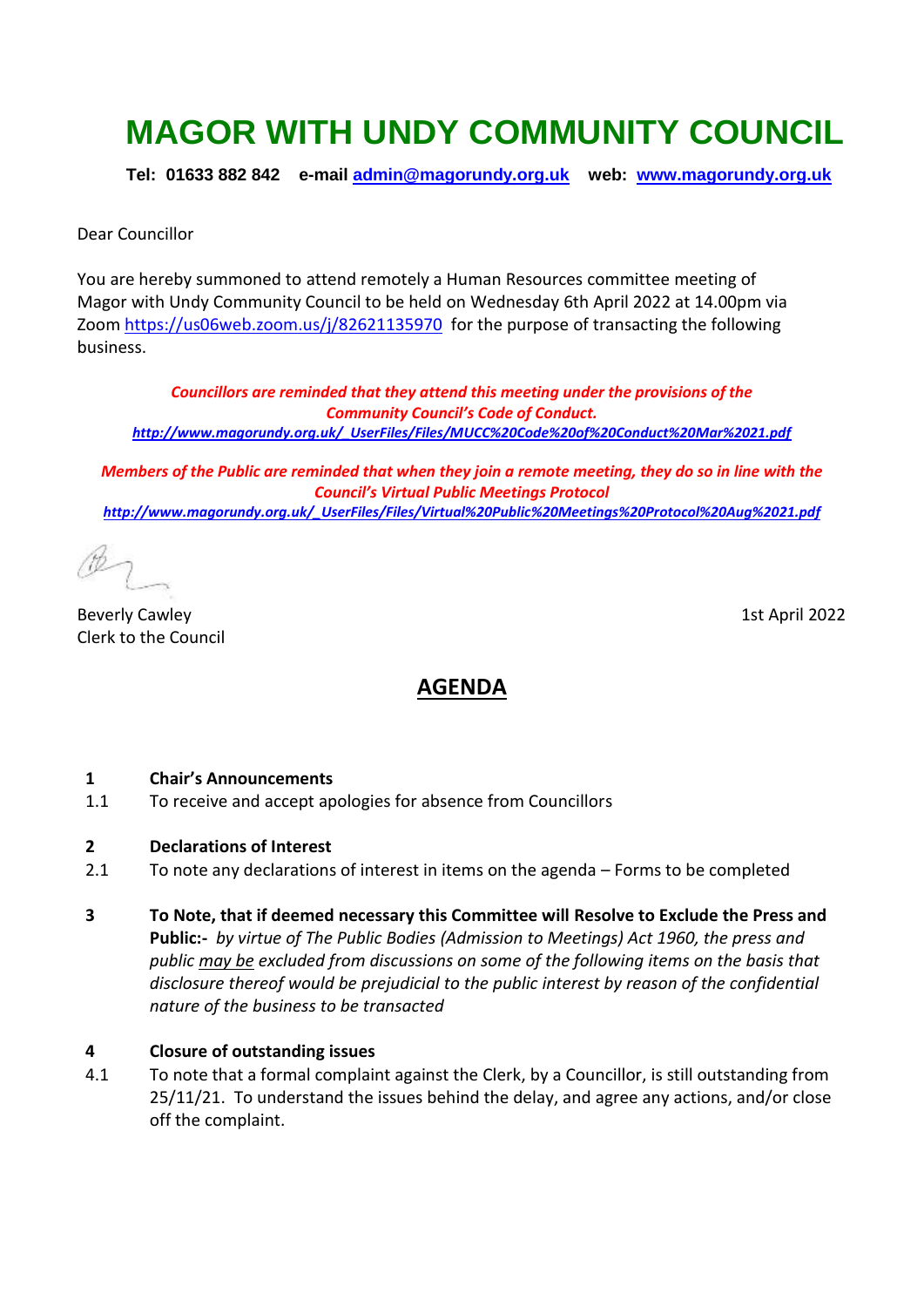# **MAGOR WITH UNDY COMMUNITY COUNCIL**

**Tel: 01633 882 842 e-mail [admin@magorundy.org.uk](mailto:admin@magorundy.org.uk) web: [www.magorundy.org.uk](http://www.magorundy.org.uk/)**

Dear Councillor

You are hereby summoned to attend remotely a Human Resources committee meeting of Magor with Undy Community Council to be held on Wednesday 6th April 2022 at 14.00pm via Zoom <https://us06web.zoom.us/j/82621135970>for the purpose of transacting the following business.

*Councillors are reminded that they attend this meeting under the provisions of the Community Council's Code of Conduct. [http://www.magorundy.org.uk/\\_UserFiles/Files/MUCC%20Code%20of%20Conduct%20Mar%2021.pdf](http://www.magorundy.org.uk/_UserFiles/Files/MUCC%20Code%20of%20Conduct%20Mar%2021.pdf)*

*Members of the Public are reminded that when they join a remote meeting, they do so in line with the Council's Virtual Public Meetings Protocol [http://www.magorundy.org.uk/\\_UserFiles/Files/Virtual%20Public%20Meetings%20Protocol%20Aug%2021.pdf](http://www.magorundy.org.uk/_UserFiles/Files/Virtual%20Public%20Meetings%20Protocol%20Aug%2021.pdf)*

Beverly Cawley 15th April 2022 Clerk to the Council

## **AGENDA**

#### **1 Chair's Announcements**

- 1.1 To receive and accept apologies for absence from Councillors
- **2 Declarations of Interest**
- 2.1 To note any declarations of interest in items on the agenda Forms to be completed
- **3 To Note, that if deemed necessary this Committee will Resolve to Exclude the Press and Public:-** *by virtue of The Public Bodies (Admission to Meetings) Act 1960, the press and public may be excluded from discussions on some of the following items on the basis that disclosure thereof would be prejudicial to the public interest by reason of the confidential nature of the business to be transacted*

#### **4 Closure of outstanding issues**

4.1 To note that a formal complaint against the Clerk, by a Councillor, is still outstanding from 25/11/21. To understand the issues behind the delay, and agree any actions, and/or close off the complaint.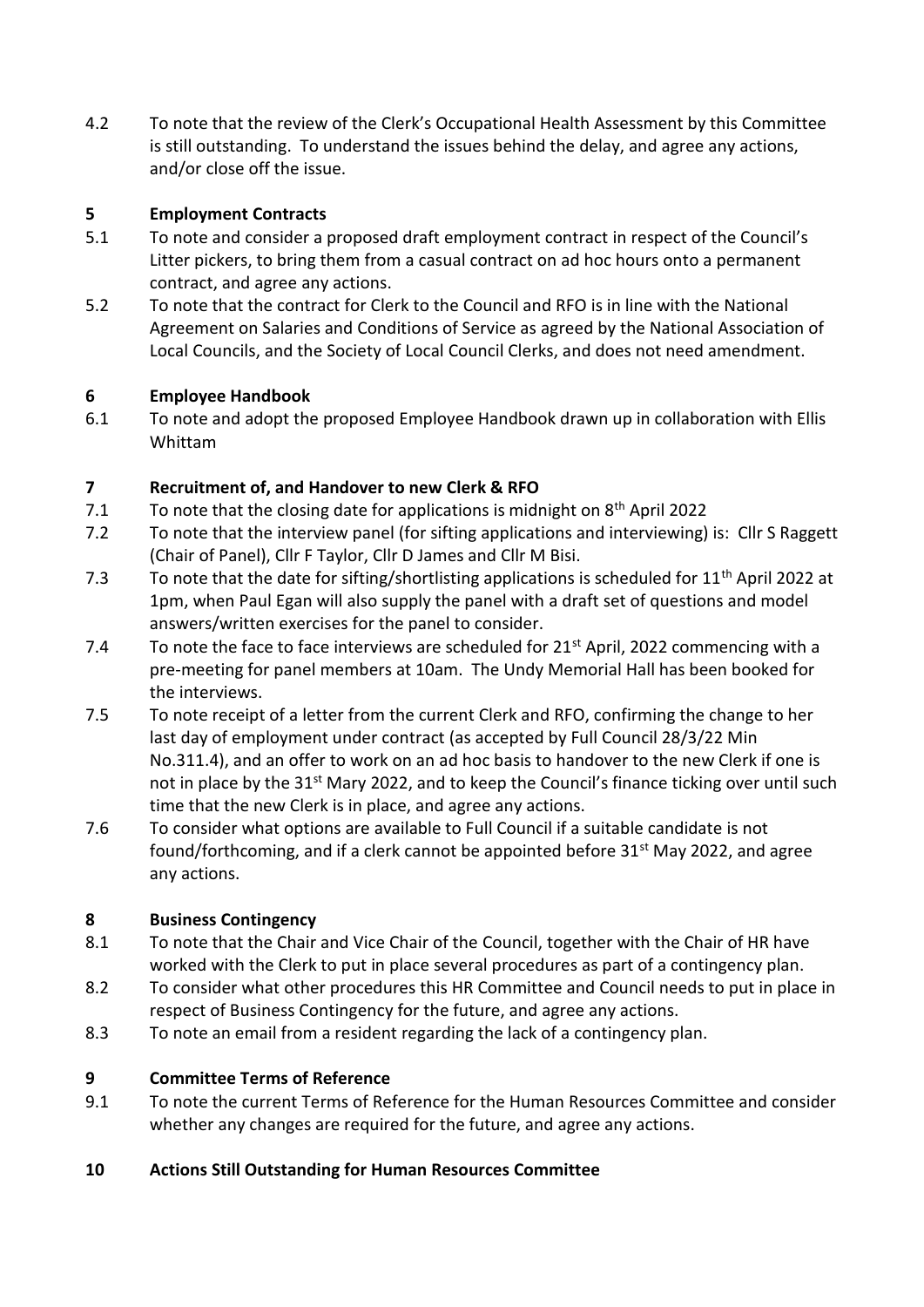4.2 To note that the review of the Clerk's Occupational Health Assessment by this Committee is still outstanding. To understand the issues behind the delay, and agree any actions, and/or close off the issue.

#### **5 Employment Contracts**

- 5.1 To note and consider a proposed draft employment contract in respect of the Council's Litter pickers, to bring them from a casual contract on ad hoc hours onto a permanent contract, and agree any actions.
- 5.2 To note that the contract for Clerk to the Council and RFO is in line with the National Agreement on Salaries and Conditions of Service as agreed by the National Association of Local Councils, and the Society of Local Council Clerks, and does not need amendment.

#### **6 Employee Handbook**

6.1 To note and adopt the proposed Employee Handbook drawn up in collaboration with Ellis Whittam

## **7 Recruitment of, and Handover to new Clerk & RFO**

- 7.1 To note that the closing date for applications is midnight on  $8<sup>th</sup>$  April 2022
- 7.2 To note that the interview panel (for sifting applications and interviewing) is: Cllr S Raggett (Chair of Panel), Cllr F Taylor, Cllr D James and Cllr M Bisi.
- 7.3 To note that the date for sifting/shortlisting applications is scheduled for  $11<sup>th</sup>$  April 2022 at 1pm, when Paul Egan will also supply the panel with a draft set of questions and model answers/written exercises for the panel to consider.
- 7.4 To note the face to face interviews are scheduled for  $21<sup>st</sup>$  April, 2022 commencing with a pre-meeting for panel members at 10am. The Undy Memorial Hall has been booked for the interviews.
- 7.5 To note receipt of a letter from the current Clerk and RFO, confirming the change to her last day of employment under contract (as accepted by Full Council 28/3/22 Min No.311.4), and an offer to work on an ad hoc basis to handover to the new Clerk if one is not in place by the 31<sup>st</sup> Mary 2022, and to keep the Council's finance ticking over until such time that the new Clerk is in place, and agree any actions.
- 7.6 To consider what options are available to Full Council if a suitable candidate is not found/forthcoming, and if a clerk cannot be appointed before 31<sup>st</sup> May 2022, and agree any actions.

#### **8 Business Contingency**

- 8.1 To note that the Chair and Vice Chair of the Council, together with the Chair of HR have worked with the Clerk to put in place several procedures as part of a contingency plan.
- 8.2 To consider what other procedures this HR Committee and Council needs to put in place in respect of Business Contingency for the future, and agree any actions.
- 8.3 To note an email from a resident regarding the lack of a contingency plan.

## **9 Committee Terms of Reference**

- 9.1 To note the current Terms of Reference for the Human Resources Committee and consider whether any changes are required for the future, and agree any actions.
- **10 Actions Still Outstanding for Human Resources Committee**